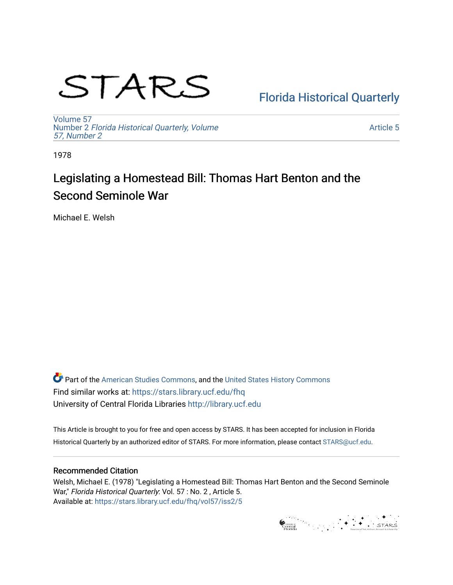# STARS

### [Florida Historical Quarterly](https://stars.library.ucf.edu/fhq)

[Volume 57](https://stars.library.ucf.edu/fhq/vol57) Number 2 [Florida Historical Quarterly, Volume](https://stars.library.ucf.edu/fhq/vol57/iss2)  [57, Number 2](https://stars.library.ucf.edu/fhq/vol57/iss2)

[Article 5](https://stars.library.ucf.edu/fhq/vol57/iss2/5) 

1978

## Legislating a Homestead Bill: Thomas Hart Benton and the Second Seminole War

Michael E. Welsh

**C** Part of the [American Studies Commons](http://network.bepress.com/hgg/discipline/439?utm_source=stars.library.ucf.edu%2Ffhq%2Fvol57%2Fiss2%2F5&utm_medium=PDF&utm_campaign=PDFCoverPages), and the United States History Commons Find similar works at: <https://stars.library.ucf.edu/fhq> University of Central Florida Libraries [http://library.ucf.edu](http://library.ucf.edu/) 

This Article is brought to you for free and open access by STARS. It has been accepted for inclusion in Florida Historical Quarterly by an authorized editor of STARS. For more information, please contact [STARS@ucf.edu.](mailto:STARS@ucf.edu)

#### Recommended Citation

Welsh, Michael E. (1978) "Legislating a Homestead Bill: Thomas Hart Benton and the Second Seminole War," Florida Historical Quarterly: Vol. 57 : No. 2 , Article 5. Available at: [https://stars.library.ucf.edu/fhq/vol57/iss2/5](https://stars.library.ucf.edu/fhq/vol57/iss2/5?utm_source=stars.library.ucf.edu%2Ffhq%2Fvol57%2Fiss2%2F5&utm_medium=PDF&utm_campaign=PDFCoverPages) 

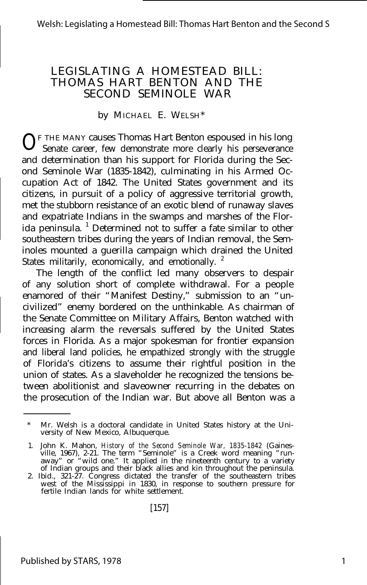#### LEGISLATING A HOMESTEAD BILL: THOMAS HART BENTON AND THE SECOND SEMINOLE WAR

#### by MICHAEL E. WELSH\*

 $0^{\text{F}}$  THE MANY causes Thomas Hart Benton espoused in his long Senate career, few demonstrate more clearly his perseverance Senate career, few demonstrate more clearly his perseverance and determination than his support for Florida during the Second Seminole War (1835-1842), culminating in his Armed Occupation Act of 1842. The United States government and its citizens, in pursuit of a policy of aggressive territorial growth, met the stubborn resistance of an exotic blend of runaway slaves and expatriate Indians in the swamps and marshes of the Florida peninsula. <sup>1</sup> Determined not to suffer a fate similar to other southeastern tribes during the years of Indian removal, the Seminoles mounted a guerilla campaign which drained the United States militarily, economically, and emotionally.<sup>2</sup>

The length of the conflict led many observers to despair of any solution short of complete withdrawal. For a people enamored of their "Manifest Destiny," submission to an "uncivilized" enemy bordered on the unthinkable. As chairman of the Senate Committee on Military Affairs, Benton watched with increasing alarm the reversals suffered by the United States forces in Florida. As a major spokesman for frontier expansion and liberal land policies, he empathized strongly with the struggle of Florida's citizens to assume their rightful position in the union of states. As a slaveholder he recognized the tensions between abolitionist and slaveowner recurring in the debates on the prosecution of the Indian war. But above all Benton was a

Mr. Welsh is a doctoral candidate in United States history at the University of New Mexico, Albuquerque.

<sup>1.</sup> John K. Mahon, *History of the Second Seminole War, 1835-1842* (Gainesville, 1967), 2-21. The term "Seminole" is a Creek word meaning "run-away" or "wild one." It applied in the nineteenth century to a variety of Indian groups and their black allies and kin throughout the peninsula.

<sup>2.</sup> Ibid., 321-27. Congress dictated the transfer of the southeastern tribes west of the Mississippi in 1830, in response to southern pressure for fertile Indian lands for white settlement.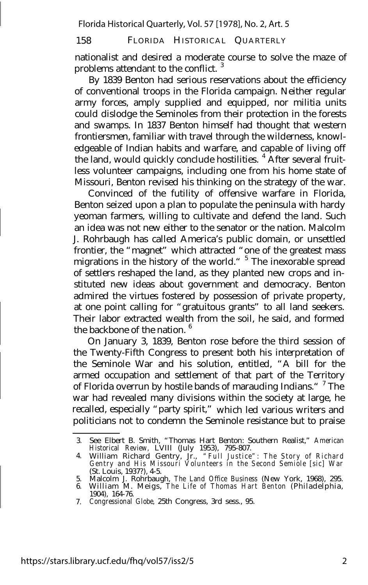Florida Historical Quarterly, Vol. 57 [1978], No. 2, Art. 5

#### 158 FLORIDA HISTORICAL QUARTERLY

nationalist and desired a moderate course to solve the maze of problems attendant to the conflict.

By 1839 Benton had serious reservations about the efficiency of conventional troops in the Florida campaign. Neither regular army forces, amply supplied and equipped, nor militia units could dislodge the Seminoles from their protection in the forests and swamps. In 1837 Benton himself had thought that western frontiersmen, familiar with travel through the wilderness, knowledgeable of Indian habits and warfare, and capable of living off the land, would quickly conclude hostilities.<sup>4</sup> After several fruitless volunteer campaigns, including one from his home state of Missouri, Benton revised his thinking on the strategy of the war.

Convinced of the futility of offensive warfare in Florida, Benton seized upon a plan to populate the peninsula with hardy yeoman farmers, willing to cultivate and defend the land. Such an idea was not new either to the senator or the nation. Malcolm J. Rohrbaugh has called America's public domain, or unsettled frontier, the "magnet" which attracted "one of the greatest mass migrations in the history of the world." <sup>5</sup> The inexorable spread of settlers reshaped the land, as they planted new crops and instituted new ideas about government and democracy. Benton admired the virtues fostered by possession of private property, at one point calling for "gratuitous grants" to all land seekers. Their labor extracted wealth from the soil, he said, and formed the backbone of the nation.  $6$ 

On January 3, 1839, Benton rose before the third session of the Twenty-Fifth Congress to present both his interpretation of the Seminole War and his solution, entitled, "A bill for the armed occupation and settlement of that part of the Territory of Florida overrun by hostile bands of marauding Indians." <sup>7</sup> The war had revealed many divisions within the society at large, he recalled, especially "party spirit," which led various writers and politicians not to condemn the Seminole resistance but to praise

<sup>3.</sup> See Elbert B. Smith, "Thomas Hart Benton: Southern Realist," *American Historical Review,* LVIII (July 1953), 795-807.

<sup>4.</sup> William Richard Gentry, Jr., *"Full Justice": The Story of Richard Gentry and His Missouri Volunteers in the Second Semiole [sic] War* (St. Louis, 1937?), 4-5.

Malcolm J. Rohrbaugh, *The Land Office Business* (New York, 1968), 295.

<sup>5.</sup> 6. William M. Meigs, *The Life of Thomas Hart Benton* (Philadelphia, 1904), 164-76.

<sup>7.</sup> *Congressional Globe,* 25th Congress, 3rd sess., 95.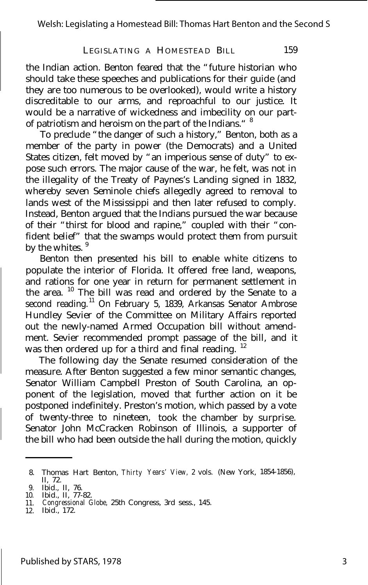the Indian action. Benton feared that the "future historian who should take these speeches and publications for their guide (and they are too numerous to be overlooked), would write a history discreditable to our arms, and reproachful to our justice. It would be a narrative of wickedness and imbecility on our partof patriotism and heroism on the part of the Indians." <sup>8</sup>

To preclude "the danger of such a history," Benton, both as a member of the party in power (the Democrats) and a United States citizen, felt moved by "an imperious sense of duty" to expose such errors. The major cause of the war, he felt, was not in the illegality of the Treaty of Paynes's Landing signed in 1832, whereby seven Seminole chiefs allegedly agreed to removal to lands west of the Mississippi and then later refused to comply. Instead, Benton argued that the Indians pursued the war because of their "thirst for blood and rapine," coupled with their "confident belief" that the swamps would protect them from pursuit by the whites.<sup>9</sup>

Benton then presented his bill to enable white citizens to populate the interior of Florida. It offered free land, weapons, and rations for one year in return for permanent settlement in the area.  $10$  The bill was read and ordered by the Senate to a second reading.<sup>11</sup> On February 5, 1839, Arkansas Senator Ambrose Hundley Sevier of the Committee on Military Affairs reported out the newly-named Armed Occupation bill without amendment. Sevier recommended prompt passage of the bill, and it was then ordered up for a third and final reading.<sup>12</sup>

The following day the Senate resumed consideration of the measure. After Benton suggested a few minor semantic changes, Senator William Campbell Preston of South Carolina, an opponent of the legislation, moved that further action on it be postponed indefinitely. Preston's motion, which passed by a vote of twenty-three to nineteen, took the chamber by surprise. Senator John McCracken Robinson of Illinois, a supporter of the bill who had been outside the hall during the motion, quickly

12. Ibid., 172.

<sup>8.</sup> Thomas Hart Benton, *Thirty Years' View,* 2 vols. (New York, 1854-1856), II, 72.

<sup>9.</sup> Ibid., II, 76. 10. Ibid., II, 77-82. 11. *Congressional Globe,* 25th Congress, 3rd sess., 145.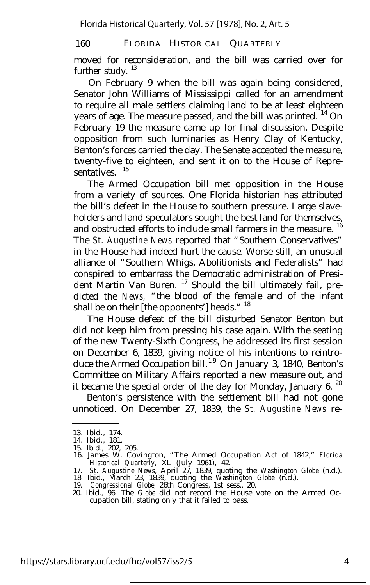moved for reconsideration, and the bill was carried over for further study.  $13$ 

On February 9 when the bill was again being considered, Senator John Williams of Mississippi called for an amendment to require all male settlers claiming land to be at least eighteen years of age. The measure passed, and the bill was printed. <sup>14</sup> On February 19 the measure came up for final discussion. Despite opposition from such luminaries as Henry Clay of Kentucky, Benton's forces carried the day. The Senate accepted the measure, twenty-five to eighteen, and sent it on to the House of Representatives.<sup>15</sup>

The Armed Occupation bill met opposition in the House from a variety of sources. One Florida historian has attributed the bill's defeat in the House to southern pressure. Large slaveholders and land speculators sought the best land for themselves, and obstructed efforts to include small farmers in the measure.<sup>16</sup> The *St. Augustine News* reported that "Southern Conservatives" in the House had indeed hurt the cause. Worse still, an unusual alliance of "Southern Whigs, Abolitionists and Federalists" had conspired to embarrass the Democratic administration of President Martin Van Buren. <sup>17</sup> Should the bill ultimately fail, predicted the *News,* "the blood of the female and of the infant shall be on their [the opponents'] heads."<sup>18</sup>

The House defeat of the bill disturbed Senator Benton but did not keep him from pressing his case again. With the seating of the new Twenty-Sixth Congress, he addressed its first session on December 6, 1839, giving notice of his intentions to reintroduce the Armed Occupation bill.<sup>19</sup> On January 3, 1840, Benton's Committee on Military Affairs reported a new measure out, and it became the special order of the day for Monday, January 6. $^{20}$ 

Benton's persistence with the settlement bill had not gone unnoticed. On December 27, 1839, the *St. Augustine News* re-

- 
- 15. Ibid., 202, 205. 16. James W. Covington, "The Armed Occupation Act of 1842," *Florida Historical Quarterly,* XL (July 1961), 42.
- 17. *St. Augustine News,* April 27, 1839, quoting the *Washington Globe* (n.d.). 18. Ibid., March 23, 1839, quoting the *Washington Globe* (n.d.). 19. *Congressional Globe,* 26th Congress, 1st sess., 20.
- 
- 
- 20. Ibid., 96. The *Globe* did not record the House vote on the Armed Occupation bill, stating only that it failed to pass.

<sup>13.</sup> Ibid., 174.

<sup>14.</sup> Ibid., 181.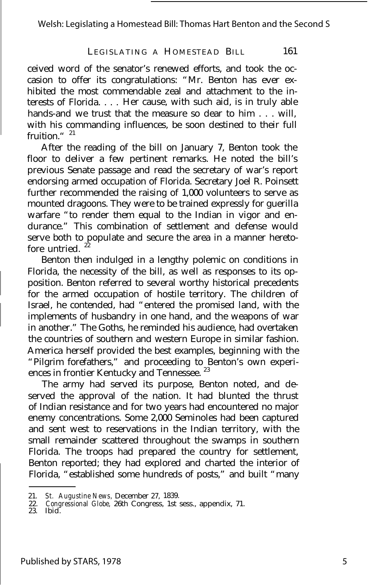Welsh: Legislating a Homestead Bill: Thomas Hart Benton and the Second S

#### LEGISLATING A HOMESTEAD BILL 161

ceived word of the senator's renewed efforts, and took the occasion to offer its congratulations: "Mr. Benton has ever exhibited the most commendable zeal and attachment to the interests of Florida. . . . Her cause, with such aid, is in truly able hands-and we trust that the measure so dear to him . . . will. with his commanding influences, be soon destined to their full fruition." $21$ 

After the reading of the bill on January 7, Benton took the floor to deliver a few pertinent remarks. He noted the bill's previous Senate passage and read the secretary of war's report endorsing armed occupation of Florida. Secretary Joel R. Poinsett further recommended the raising of 1,000 volunteers to serve as mounted dragoons. They were to be trained expressly for guerilla warfare "to render them equal to the Indian in vigor and endurance." This combination of settlement and defense would serve both to populate and secure the area in a manner heretofore untried. $2$ 

Benton then indulged in a lengthy polemic on conditions in Florida, the necessity of the bill, as well as responses to its opposition. Benton referred to several worthy historical precedents for the armed occupation of hostile territory. The children of Israel, he contended, had "entered the promised land, with the implements of husbandry in one hand, and the weapons of war in another." The Goths, he reminded his audience, had overtaken the countries of southern and western Europe in similar fashion. America herself provided the best examples, beginning with the "Pilgrim forefathers," and proceeding to Benton's own experiences in frontier Kentucky and Tennessee.<sup>23</sup>

The army had served its purpose, Benton noted, and deserved the approval of the nation. It had blunted the thrust of Indian resistance and for two years had encountered no major enemy concentrations. Some 2,000 Seminoles had been captured and sent west to reservations in the Indian territory, with the small remainder scattered throughout the swamps in southern Florida. The troops had prepared the country for settlement, Benton reported; they had explored and charted the interior of Florida, "established some hundreds of posts," and built "many

<sup>21.</sup> *St. Augustine News,* December 27, 1839.

<sup>22.</sup> *Congressional Globe,* 26th Congress, 1st sess., appendix, 71. 23. Ibid.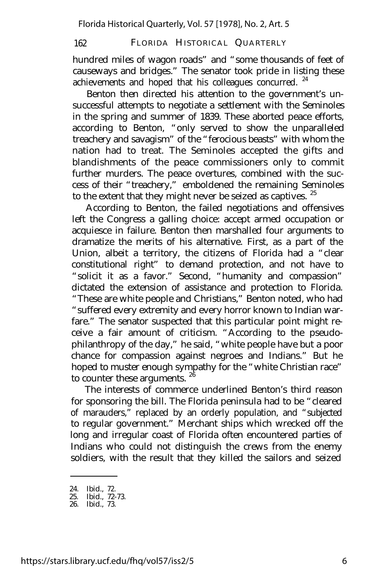hundred miles of wagon roads" and "some thousands of feet of causeways and bridges." The senator took pride in listing these achievements and hoped that his colleagues concurred.<sup>24</sup>

Benton then directed his attention to the government's unsuccessful attempts to negotiate a settlement with the Seminoles in the spring and summer of 1839. These aborted peace efforts, according to Benton, "only served to show the unparalleled treachery and savagism" of the "ferocious beasts" with whom the nation had to treat. The Seminoles accepted the gifts and blandishments of the peace commissioners only to commit further murders. The peace overtures, combined with the success of their "treachery," emboldened the remaining Seminoles to the extent that they might never be seized as captives.  $25$ 

According to Benton, the failed negotiations and offensives left the Congress a galling choice: accept armed occupation or acquiesce in failure. Benton then marshalled four arguments to dramatize the merits of his alternative. First, as a part of the Union, albeit a territory, the citizens of Florida had a "clear constitutional right" to demand protection, and not have to "solicit it as a favor." Second, "humanity and compassion" dictated the extension of assistance and protection to Florida. "These are white people and Christians," Benton noted, who had "suffered every extremity and every horror known to Indian warfare." The senator suspected that this particular point might receive a fair amount of criticism. "According to the pseudophilanthropy of the day," he said, "white people have but a poor chance for compassion against negroes and Indians." But he hoped to muster enough sympathy for the "white Christian race" to counter these arguments.  $26$ 

The interests of commerce underlined Benton's third reason for sponsoring the bill. The Florida peninsula had to be "cleared of marauders," replaced by an orderly population, and "subjected to regular government." Merchant ships which wrecked off the long and irregular coast of Florida often encountered parties of Indians who could not distinguish the crews from the enemy soldiers, with the result that they killed the sailors and seized

<sup>24.</sup> Ibid., 72.

<sup>25.</sup> Ibid., 72-73. 26. Ibid., 73.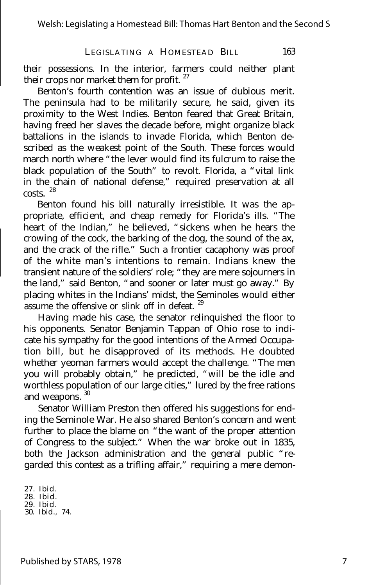their possessions. In the interior, farmers could neither plant their crops nor market them for profit.<sup>27</sup>

Benton's fourth contention was an issue of dubious merit. The peninsula had to be militarily secure, he said, given its proximity to the West Indies. Benton feared that Great Britain, having freed her slaves the decade before, might organize black battalions in the islands to invade Florida, which Benton described as the weakest point of the South. These forces would march north where "the lever would find its fulcrum to raise the black population of the South" to revolt. Florida, a "vital link in the chain of national defense," required preservation at all costs. <sup>28</sup>

Benton found his bill naturally irresistible. It was the appropriate, efficient, and cheap remedy for Florida's ills. "The heart of the Indian," he believed, "sickens when he hears the crowing of the cock, the barking of the dog, the sound of the ax, and the crack of the rifle." Such a frontier cacaphony was proof of the white man's intentions to remain. Indians knew the transient nature of the soldiers' role; "they are mere sojourners in the land," said Benton, "and sooner or later must go away." By placing whites in the Indians' midst, the Seminoles would either assume the offensive or slink off in defeat.  $29$ 

Having made his case, the senator relinquished the floor to his opponents. Senator Benjamin Tappan of Ohio rose to indicate his sympathy for the good intentions of the Armed Occupation bill, but he disapproved of its methods. He doubted whether yeoman farmers would accept the challenge. "The men you will probably obtain," he predicted, "will be the idle and worthless population of our large cities," lured by the free rations and weapons. <sup>30</sup>

Senator William Preston then offered his suggestions for ending the Seminole War. He also shared Benton's concern and went further to place the blame on "the want of the proper attention of Congress to the subject." When the war broke out in 1835, both the Jackson administration and the general public "regarded this contest as a trifling affair," requiring a mere demon-

<sup>27.</sup> Ibid.

<sup>28.</sup> Ibid. 29. Ibid.

<sup>30.</sup> Ibid., 74.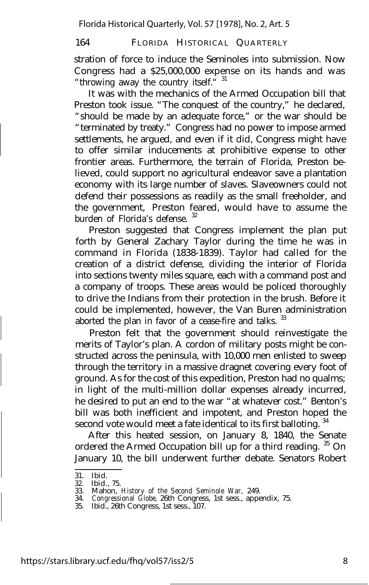stration of force to induce the Seminoles into submission. Now Congress had a \$25,000,000 expense on its hands and was "throwing away the country itself." 31

It was with the mechanics of the Armed Occupation bill that Preston took issue. "The conquest of the country," he declared, "should be made by an adequate force," or the war should be "terminated by treaty." Congress had no power to impose armed settlements, he argued, and even if it did, Congress might have to offer similar inducements at prohibitive expense to other frontier areas. Furthermore, the terrain of Florida, Preston believed, could support no agricultural endeavor save a plantation economy with its large number of slaves. Slaveowners could not defend their possessions as readily as the small freeholder, and the government, Preston feared, would have to assume the burden of Florida's defense.<sup>32</sup>

Preston suggested that Congress implement the plan put forth by General Zachary Taylor during the time he was in command in Florida (1838-1839). Taylor had called for the creation of a district defense, dividing the interior of Florida into sections twenty miles square, each with a command post and a company of troops. These areas would be policed thoroughly to drive the Indians from their protection in the brush. Before it could be implemented, however, the Van Buren administration aborted the plan in favor of a cease-fire and talks.<sup>33</sup>

Preston felt that the government should reinvestigate the merits of Taylor's plan. A cordon of military posts might be constructed across the peninsula, with 10,000 men enlisted to sweep through the territory in a massive dragnet covering every foot of ground. As for the cost of this expedition, Preston had no qualms; in light of the multi-million dollar expenses already incurred, he desired to put an end to the war "at whatever cost." Benton's bill was both inefficient and impotent, and Preston hoped the second vote would meet a fate identical to its first balloting.<sup>34</sup>

After this heated session, on January 8, 1840, the Senate ordered the Armed Occupation bill up for a third reading. <sup>35</sup> On January 10, the bill underwent further debate. Senators Robert

<sup>31.</sup> Ibid.

<sup>32.</sup> Ibid., 75.

<sup>33.</sup> Mahon, *History of the Second Seminole War,* 249.

<sup>34.</sup> *Congressional Globe,* 26th Congress, 1st sess., appendix, 75.

<sup>35.</sup> Ibid., 26th Congress, 1st sess., 107.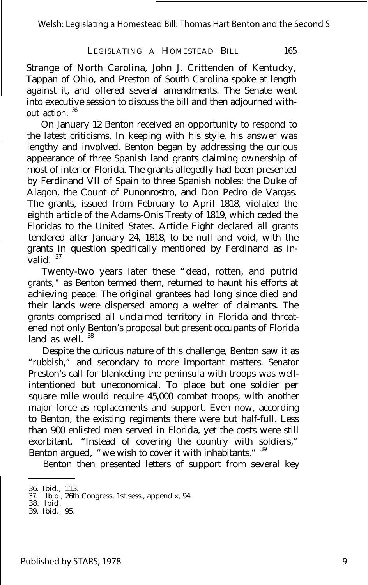Welsh: Legislating a Homestead Bill: Thomas Hart Benton and the Second S

#### LEGISLATING A HOMESTEAD BILL 165

Strange of North Carolina, John J. Crittenden of Kentucky, Tappan of Ohio, and Preston of South Carolina spoke at length against it, and offered several amendments. The Senate went into executive session to discuss the bill and then adjourned without action. <sup>36</sup>

On January 12 Benton received an opportunity to respond to the latest criticisms. In keeping with his style, his answer was lengthy and involved. Benton began by addressing the curious appearance of three Spanish land grants claiming ownership of most of interior Florida. The grants allegedly had been presented by Ferdinand VII of Spain to three Spanish nobles: the Duke of Alagon, the Count of Punonrostro, and Don Pedro de Vargas. The grants, issued from February to April 1818, violated the eighth article of the Adams-Onis Treaty of 1819, which ceded the Floridas to the United States. Article Eight declared all grants tendered after January 24, 1818, to be null and void, with the grants in question specifically mentioned by Ferdinand as invalid. 37

Twenty-two years later these "dead, rotten, and putrid grants, " as Benton termed them, returned to haunt his efforts at achieving peace. The original grantees had long since died and their lands were dispersed among a welter of claimants. The grants comprised all unclaimed territory in Florida and threatened not only Benton's proposal but present occupants of Florida land as well.<sup>38</sup>

Despite the curious nature of this challenge, Benton saw it as "rubbish," and secondary to more important matters. Senator Preston's call for blanketing the peninsula with troops was wellintentioned but uneconomical. To place but one soldier per square mile would require 45,000 combat troops, with another major force as replacements and support. Even now, according to Benton, the existing regiments there were but half-full. Less than 900 enlisted men served in Florida, yet the costs were still exorbitant. "Instead of covering the country with soldiers," Benton argued, "we wish to cover it with inhabitants." 39

Benton then presented letters of support from several key

<sup>36.</sup> Ibid., 113. 37. Ibid., 26th Congress, 1st sess., appendix, 94. 38. Ibid.

<sup>39.</sup> Ibid., 95.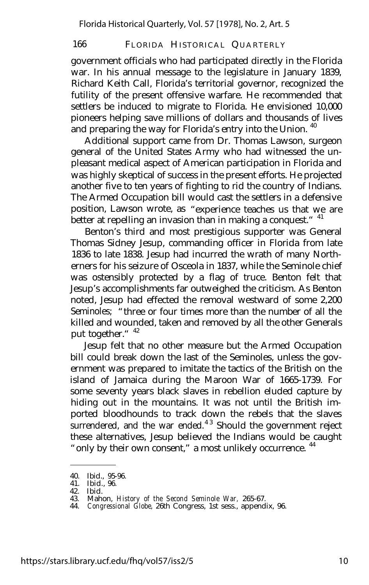government officials who had participated directly in the Florida war. In his annual message to the legislature in January 1839, Richard Keith Call, Florida's territorial governor, recognized the futility of the present offensive warfare. He recommended that settlers be induced to migrate to Florida. He envisioned 10,000 pioneers helping save millions of dollars and thousands of lives and preparing the way for Florida's entry into the Union.<sup>40</sup>

Additional support came from Dr. Thomas Lawson, surgeon general of the United States Army who had witnessed the unpleasant medical aspect of American participation in Florida and was highly skeptical of success in the present efforts. He projected another five to ten years of fighting to rid the country of Indians. The Armed Occupation bill would cast the settlers in a defensive position, Lawson wrote, as "experience teaches us that we are better at repelling an invasion than in making a conquest." <sup>41</sup>

Benton's third and most prestigious supporter was General Thomas Sidney Jesup, commanding officer in Florida from late 1836 to late 1838. Jesup had incurred the wrath of many Northerners for his seizure of Osceola in 1837, while the Seminole chief was ostensibly protected by a flag of truce. Benton felt that Jesup's accomplishments far outweighed the criticism. As Benton noted, Jesup had effected the removal westward of some 2,200 Seminoles; "three or four times more than the number of all the killed and wounded, taken and removed by all the other Generals put together." <sup>42</sup>

Jesup felt that no other measure but the Armed Occupation bill could break down the last of the Seminoles, unless the government was prepared to imitate the tactics of the British on the island of Jamaica during the Maroon War of 1665-1739. For some seventy years black slaves in rebellion eluded capture by hiding out in the mountains. It was not until the British imported bloodhounds to track down the rebels that the slaves surrendered, and the war ended. $43$  Should the government reject these alternatives, Jesup believed the Indians would be caught " only by their own consent," a most unlikely occurrence.<sup>44</sup>

<sup>40.</sup> Ibid., 95-96. 41. Ibid., 96.

<sup>42.</sup> Ibid. 43. Mahon, *History of the Second Seminole War,* 265-67.

<sup>44.</sup> *Congressional Globe,* 26th Congress, 1st sess., appendix, 96.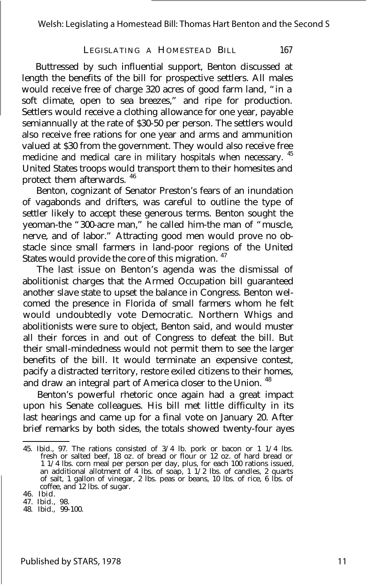Buttressed by such influential support, Benton discussed at length the benefits of the bill for prospective settlers. All males would receive free of charge 320 acres of good farm land, "in a soft climate, open to sea breezes," and ripe for production. Settlers would receive a clothing allowance for one year, payable semiannually at the rate of \$30-50 per person. The settlers would also receive free rations for one year and arms and ammunition valued at \$30 from the government. They would also receive free medicine and medical care in military hospitals when necessary. <sup>45</sup> United States troops would transport them to their homesites and protect them afterwards. <sup>46</sup>

Benton, cognizant of Senator Preston's fears of an inundation of vagabonds and drifters, was careful to outline the type of settler likely to accept these generous terms. Benton sought the yeoman-the "300-acre man," he called him-the man of "muscle, nerve, and of labor." Attracting good men would prove no obstacle since small farmers in land-poor regions of the United States would provide the core of this migration. <sup>47</sup>

The last issue on Benton's agenda was the dismissal of abolitionist charges that the Armed Occupation bill guaranteed another slave state to upset the balance in Congress. Benton welcomed the presence in Florida of small farmers whom he felt would undoubtedly vote Democratic. Northern Whigs and abolitionists were sure to object, Benton said, and would muster all their forces in and out of Congress to defeat the bill. But their small-mindedness would not permit them to see the larger benefits of the bill. It would terminate an expensive contest, pacify a distracted territory, restore exiled citizens to their homes, and draw an integral part of America closer to the Union.<sup>48</sup>

Benton's powerful rhetoric once again had a great impact upon his Senate colleagues. His bill met little difficulty in its last hearings and came up for a final vote on January 20. After brief remarks by both sides, the totals showed twenty-four ayes

<sup>45.</sup> Ibid., 97. The rations consisted of  $3/4$  lb. pork or bacon or 1 1/4 lbs.<br>fresh or salted beef, 18 oz. of bread or flour or 12 oz. of hard bread or<br>1 1/4 lbs. corn meal per person per day, plus, for each 100 rations is an additional allotment of 4 lbs. of soap, 1 1/2 lbs. of candles, 2 quarts of salt, 1 gallon of vinegar, 2 lbs. peas or beans, 10 lbs. of rice, 6 lbs. of coffee, and 12 lbs. of sugar.

<sup>46.</sup> Ibid.

<sup>47.</sup> Ibid., 98.

<sup>48.</sup> Ibid., 99-100.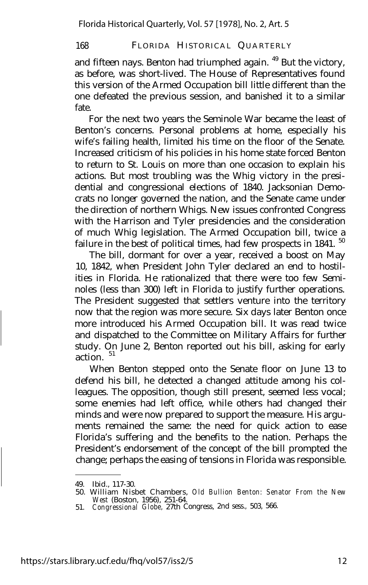and fifteen nays. Benton had triumphed again. <sup>49</sup> But the victory, as before, was short-lived. The House of Representatives found this version of the Armed Occupation bill little different than the one defeated the previous session, and banished it to a similar fate.

For the next two years the Seminole War became the least of Benton's concerns. Personal problems at home, especially his wife's failing health, limited his time on the floor of the Senate. Increased criticism of his policies in his home state forced Benton to return to St. Louis on more than one occasion to explain his actions. But most troubling was the Whig victory in the presidential and congressional elections of 1840. Jacksonian Democrats no longer governed the nation, and the Senate came under the direction of northern Whigs. New issues confronted Congress with the Harrison and Tyler presidencies and the consideration of much Whig legislation. The Armed Occupation bill, twice a failure in the best of political times, had few prospects in 1841.<sup>50</sup>

The bill, dormant for over a year, received a boost on May 10, 1842, when President John Tyler declared an end to hostilities in Florida. He rationalized that there were too few Seminoles (less than 300) left in Florida to justify further operations. The President suggested that settlers venture into the territory now that the region was more secure. Six days later Benton once more introduced his Armed Occupation bill. It was read twice and dispatched to the Committee on Military Affairs for further study. On June 2, Benton reported out his bill, asking for early action.<sup>51</sup>

When Benton stepped onto the Senate floor on June 13 to defend his bill, he detected a changed attitude among his colleagues. The opposition, though still present, seemed less vocal; some enemies had left office, while others had changed their minds and were now prepared to support the measure. His arguments remained the same: the need for quick action to ease Florida's suffering and the benefits to the nation. Perhaps the President's endorsement of the concept of the bill prompted the change; perhaps the easing of tensions in Florida was responsible.

<sup>49.</sup> Ibid., 117-30.

<sup>50.</sup> William Nisbet Chambers, *Old Bullion Benton: Senator From the New West* (Boston, 1956), 251-64. 51. *Congressional Globe,* 27th Congress, 2nd sess., 503, 566.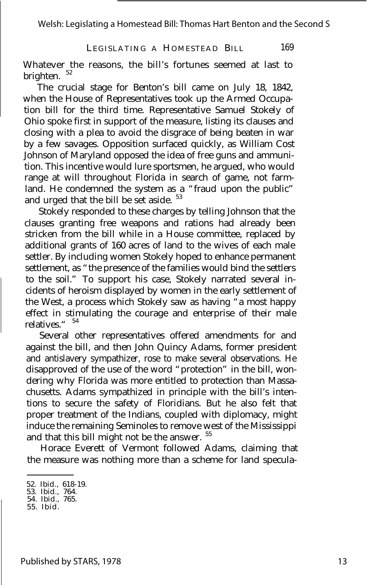Whatever the reasons, the bill's fortunes seemed at last to brighten.

The crucial stage for Benton's bill came on July 18, 1842, when the House of Representatives took up the Armed Occupation bill for the third time. Representative Samuel Stokely of Ohio spoke first in support of the measure, listing its clauses and closing with a plea to avoid the disgrace of being beaten in war by a few savages. Opposition surfaced quickly, as William Cost Johnson of Maryland opposed the idea of free guns and ammunition. This incentive would lure sportsmen, he argued, who would range at will throughout Florida in search of game, not farmland. He condemned the system as a "fraud upon the public" and urged that the bill be set aside. <sup>53</sup>

Stokely responded to these charges by telling Johnson that the clauses granting free weapons and rations had already been stricken from the bill while in a House committee, replaced by additional grants of 160 acres of land to the wives of each male settler. By including women Stokely hoped to enhance permanent settlement, as "the presence of the families would bind the settlers to the soil." To support his case, Stokely narrated several incidents of heroism displayed by women in the early settlement of the West, a process which Stokely saw as having "a most happy effect in stimulating the courage and enterprise of their male relatives." 54

Several other representatives offered amendments for and against the bill, and then John Quincy Adams, former president and antislavery sympathizer, rose to make several observations. He disapproved of the use of the word "protection" in the bill, wondering why Florida was more entitled to protection than Massachusetts. Adams sympathized in principle with the bill's intentions to secure the safety of Floridians. But he also felt that proper treatment of the Indians, coupled with diplomacy, might induce the remaining Seminoles to remove west of the Mississippi and that this bill might not be the answer. <sup>55</sup>

Horace Everett of Vermont followed Adams, claiming that the measure was nothing more than a scheme for land specula-

<sup>52.</sup> Ibid., 618-19. 53. Ibid., 764. 54. Ibid., 765.

<sup>55.</sup> Ibid.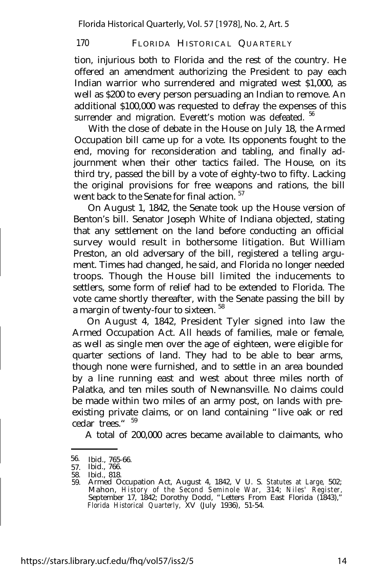tion, injurious both to Florida and the rest of the country. He offered an amendment authorizing the President to pay each Indian warrior who surrendered and migrated west \$1,000, as well as \$200 to every person persuading an Indian to remove. An additional \$100,000 was requested to defray the expenses of this surrender and migration. Everett's motion was defeated. <sup>56</sup>

With the close of debate in the House on July 18, the Armed Occupation bill came up for a vote. Its opponents fought to the end, moving for reconsideration and tabling, and finally adjournment when their other tactics failed. The House, on its third try, passed the bill by a vote of eighty-two to fifty. Lacking the original provisions for free weapons and rations, the bill went back to the Senate for final action.<sup>57</sup>

On August 1, 1842, the Senate took up the House version of Benton's bill. Senator Joseph White of Indiana objected, stating that any settlement on the land before conducting an official survey would result in bothersome litigation. But William Preston, an old adversary of the bill, registered a telling argument. Times had changed, he said, and Florida no longer needed troops. Though the House bill limited the inducements to settlers, some form of relief had to be extended to Florida. The vote came shortly thereafter, with the Senate passing the bill by a margin of twenty-four to sixteen. <sup>58</sup>

On August 4, 1842, President Tyler signed into law the Armed Occupation Act. All heads of families, male or female, as well as single men over the age of eighteen, were eligible for quarter sections of land. They had to be able to bear arms, though none were furnished, and to settle in an area bounded by a line running east and west about three miles north of Palatka, and ten miles south of Newnansville. No claims could be made within two miles of an army post, on lands with preexisting private claims, or on land containing "live oak or red cedar trees." <sup>59</sup>

A total of 200,000 acres became available to claimants, who

<sup>56.</sup>  Ibid., 765-66.

<sup>57.</sup> Ibid., 766.

<sup>58.</sup> Ibid., 818.

<sup>59.</sup> Armed Occupation Act, August 4, 1842, V U. S. *Statutes at Large,* 502; Mahon, *History of the Second Seminole War,* 314; *Niles' Register,* September 17, 1842; Dorothy Dodd, "Letters From East Florida (1843)," *Florida Historical Quarterly,* XV (July 1936), 51-54.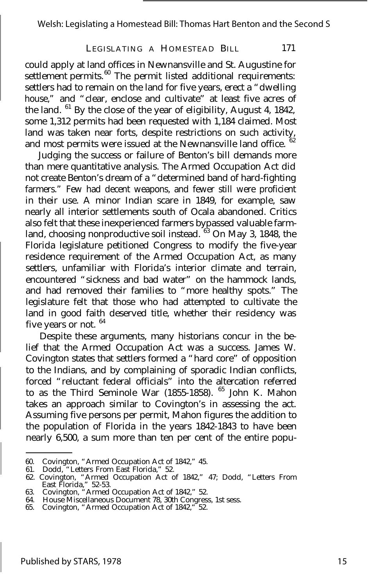could apply at land offices in Newnansville and St. Augustine for settlement permits.<sup>60</sup> The permit listed additional requirements: settlers had to remain on the land for five years, erect a "dwelling house," and "clear, enclose and cultivate" at least five acres of the land. <sup>61</sup> By the close of the year of eligibility, August 4, 1842, some 1,312 permits had been requested with 1,184 claimed. Most land was taken near forts, despite restrictions on such activity, and most permits were issued at the Newnansville land office.  $62$ 

Judging the success or failure of Benton's bill demands more than mere quantitative analysis. The Armed Occupation Act did not create Benton's dream of a "determined band of hard-fighting farmers." Few had decent weapons, and fewer still were proficient in their use. A minor Indian scare in 1849, for example, saw nearly all interior settlements south of Ocala abandoned. Critics also felt that these inexperienced farmers bypassed valuable farmland, choosing nonproductive soil instead.  $63$  On May 3, 1848, the Florida legislature petitioned Congress to modify the five-year residence requirement of the Armed Occupation Act, as many settlers, unfamiliar with Florida's interior climate and terrain, encountered "sickness and bad water" on the hammock lands, and had removed their families to "more healthy spots." The legislature felt that those who had attempted to cultivate the land in good faith deserved title, whether their residency was five years or not.  $64$ 

Despite these arguments, many historians concur in the belief that the Armed Occupation Act was a success. James W. Covington states that settlers formed a "hard core" of opposition to the Indians, and by complaining of sporadic Indian conflicts, forced "reluctant federal officials" into the altercation referred to as the Third Seminole War (1855-1858). <sup>65</sup> John K. Mahon takes an approach similar to Covington's in assessing the act. Assuming five persons per permit, Mahon figures the addition to the population of Florida in the years 1842-1843 to have been nearly 6,500, a sum more than ten per cent of the entire popu-

<sup>60.</sup> Covington, "Armed Occupation Act of 1842," 45.

<sup>61.</sup> Dodd, "Letters From East Florida," 52.

<sup>62.</sup> Covington, "Armed Occupation Act of 1842," 47; Dodd, "Letters From East Florida," 52-53. 63. Covington, "Armed Occupation Act of 1842," 52.

<sup>64.</sup> House Miscellaneous Document 78, 30th Congress, 1st sess.

<sup>65.</sup> Covington, "Armed Occupation Act of 1842," 52.